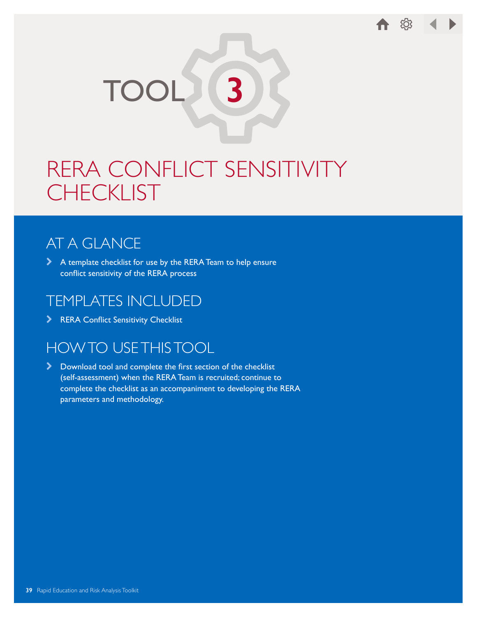

# RERA CONFLICT SENSITIVITY **CHECKLIST**

## AT A GLANCE

\ A template checklist for use by the RERA Team to help ensure conflict sensitivity of the RERA process

#### TEMPLATES INCLUDED

> RERA Conflict Sensitivity Checklist

### HOW TO USE THIS TOOL

\ Download tool and complete the first section of the checklist (self-assessment) when the RERA Team is recruited; continue to complete the checklist as an accompaniment to developing the RERA parameters and methodology.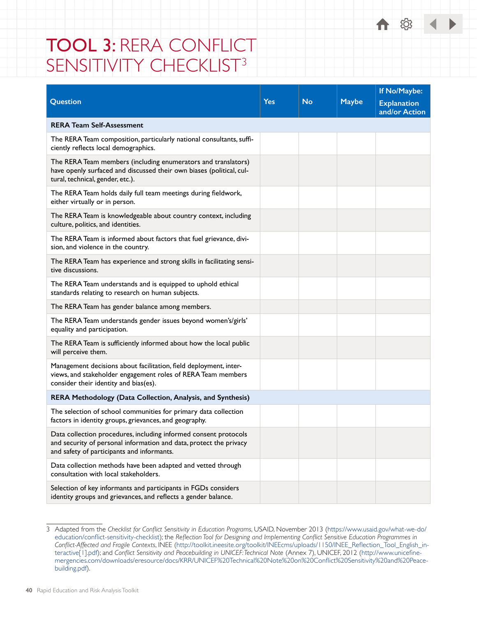# TOOL 3: RERA CONFLICT SENSITIVITY CHECKLIST<sup>3</sup>

|                                                                                                                                                                                      |            |           |              | If No/Maybe:                        |
|--------------------------------------------------------------------------------------------------------------------------------------------------------------------------------------|------------|-----------|--------------|-------------------------------------|
| Question                                                                                                                                                                             | <b>Yes</b> | <b>No</b> | <b>Maybe</b> | <b>Explanation</b><br>and/or Action |
| <b>RERA Team Self-Assessment</b>                                                                                                                                                     |            |           |              |                                     |
| The RERA Team composition, particularly national consultants, suffi-<br>ciently reflects local demographics.                                                                         |            |           |              |                                     |
| The RERA Team members (including enumerators and translators)<br>have openly surfaced and discussed their own biases (political, cul-<br>tural, technical, gender, etc.).            |            |           |              |                                     |
| The RERA Team holds daily full team meetings during fieldwork,<br>either virtually or in person.                                                                                     |            |           |              |                                     |
| The RERA Team is knowledgeable about country context, including<br>culture, politics, and identities.                                                                                |            |           |              |                                     |
| The RERA Team is informed about factors that fuel grievance, divi-<br>sion, and violence in the country.                                                                             |            |           |              |                                     |
| The RERA Team has experience and strong skills in facilitating sensi-<br>tive discussions.                                                                                           |            |           |              |                                     |
| The RERA Team understands and is equipped to uphold ethical<br>standards relating to research on human subjects.                                                                     |            |           |              |                                     |
| The RERA Team has gender balance among members.                                                                                                                                      |            |           |              |                                     |
| The RERA Team understands gender issues beyond women's/girls'<br>equality and participation.                                                                                         |            |           |              |                                     |
| The RERA Team is sufficiently informed about how the local public<br>will perceive them.                                                                                             |            |           |              |                                     |
| Management decisions about facilitation, field deployment, inter-<br>views, and stakeholder engagement roles of RERA Team members<br>consider their identity and bias(es).           |            |           |              |                                     |
| RERA Methodology (Data Collection, Analysis, and Synthesis)                                                                                                                          |            |           |              |                                     |
| The selection of school communities for primary data collection<br>factors in identity groups, grievances, and geography.                                                            |            |           |              |                                     |
| Data collection procedures, including informed consent protocols<br>and security of personal information and data, protect the privacy<br>and safety of participants and informants. |            |           |              |                                     |
| Data collection methods have been adapted and vetted through<br>consultation with local stakeholders.                                                                                |            |           |              |                                     |
| Selection of key informants and participants in FGDs considers<br>identity groups and grievances, and reflects a gender balance.                                                     |            |           |              |                                     |

← ©

<sup>3</sup> Adapted from the *Checklist for Conflict Sensitivity in Education Programs*, USAID, November 2013 ([https://www.usaid.gov/what-we-do/](https://www.usaid.gov/what-we-do/education/conflict-sensitivity-checklist) [education/conflict-sensitivity-checklist](https://www.usaid.gov/what-we-do/education/conflict-sensitivity-checklist)); the *Reflection Tool for Designing and Implementing Conflict Sensitive Education Programmes in Conflict-Affected and Fragile Contexts*, INEE ([http://toolkit.ineesite.org/toolkit/INEEcms/uploads/1150/INEE\\_Reflection\\_Tool\\_English\\_in](http://toolkit.ineesite.org/toolkit/INEEcms/uploads/1150/INEE_Reflection_Tool_English_interactive[1].pdf)[teractive\[1\].pdf\)](http://toolkit.ineesite.org/toolkit/INEEcms/uploads/1150/INEE_Reflection_Tool_English_interactive[1].pdf); and *Conflict Sensitivity and Peacebuilding in UNICEF: Technical Note* (Annex 7), UNICEF, 2012 ([http://www.unicefine](http://www.unicefinemergencies.com/downloads/eresource/docs/KRR/UNICEF%20Technical%20Note%20on%20Conflict%20Sensitivity%20and%20Peacebuilding.pdf)[mergencies.com/downloads/eresource/docs/KRR/UNICEF%20Technical%20Note%20on%20Conflict%20Sensitivity%20and%20Peace](http://www.unicefinemergencies.com/downloads/eresource/docs/KRR/UNICEF%20Technical%20Note%20on%20Conflict%20Sensitivity%20and%20Peacebuilding.pdf)[building.pdf](http://www.unicefinemergencies.com/downloads/eresource/docs/KRR/UNICEF%20Technical%20Note%20on%20Conflict%20Sensitivity%20and%20Peacebuilding.pdf)).